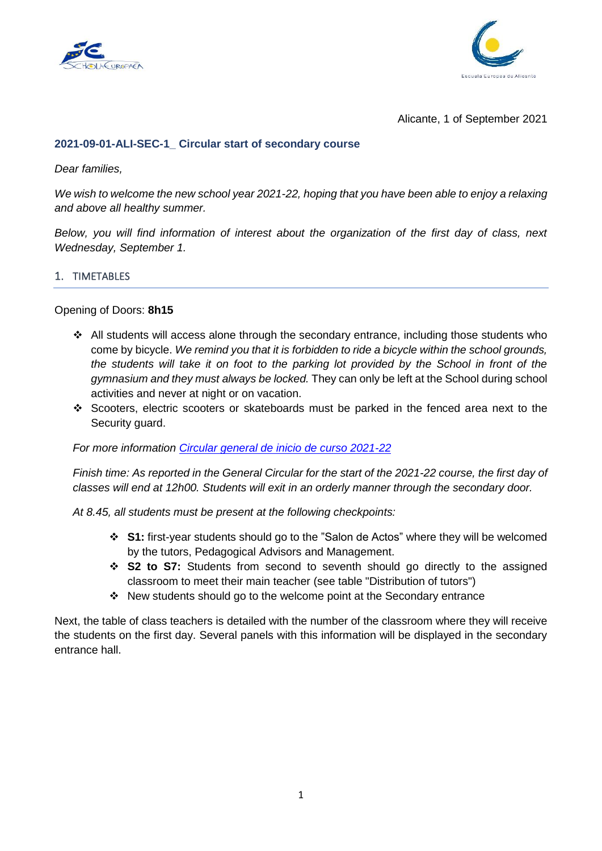



Alicante, 1 of September 2021

#### **2021-09-01-ALI-SEC-1\_ Circular start of secondary course**

*Dear families,*

*We wish to welcome the new school year 2021-22, hoping that you have been able to enjoy a relaxing and above all healthy summer.*

*Below, you will find information of interest about the organization of the first day of class, next Wednesday, September 1.*

#### 1. TIMETABLES

Opening of Doors: **8h15**

- $\div$  All students will access alone through the secondary entrance, including those students who come by bicycle. *We remind you that it is forbidden to ride a bicycle within the school grounds, the students will take it on foot to the parking lot provided by the School in front of the gymnasium and they must always be locked.* They can only be left at the School during school activities and never at night or on vacation.
- \* Scooters, electric scooters or skateboards must be parked in the fenced area next to the Security guard.

*For more information [Circular general de inicio de curso 2021-22](https://escuelaeuropea.org/sites/default/files/2021-07/Circular%20inicio%20de%20curso%202021_2022_ES%20WEB.pdf)*

*Finish time: As reported in the General Circular for the start of the 2021-22 course, the first day of classes will end at 12h00. Students will exit in an orderly manner through the secondary door.*

*At 8.45, all students must be present at the following checkpoints:*

- **S1:** first-year students should go to the "Salon de Actos" where they will be welcomed by the tutors, Pedagogical Advisors and Management.
- **S2 to S7:** Students from second to seventh should go directly to the assigned classroom to meet their main teacher (see table "Distribution of tutors")
- New students should go to the welcome point at the Secondary entrance

Next, the table of class teachers is detailed with the number of the classroom where they will receive the students on the first day. Several panels with this information will be displayed in the secondary entrance hall.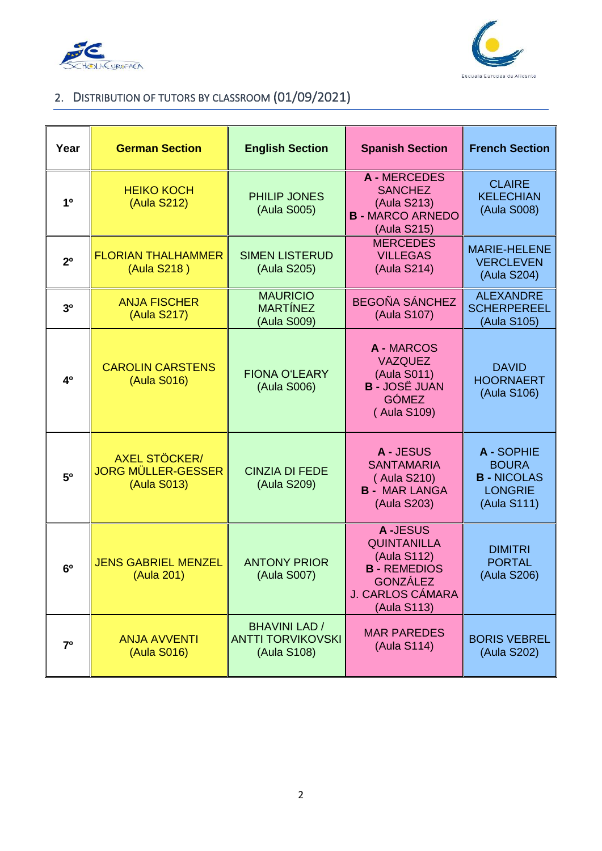



# 2. DISTRIBUTION OF TUTORS BY CLASSROOM (01/09/2021)

| Year           | <b>German Section</b>                                            | <b>English Section</b>                                                                    | <b>Spanish Section</b>                                                                                                  | <b>French Section</b>                                                           |
|----------------|------------------------------------------------------------------|-------------------------------------------------------------------------------------------|-------------------------------------------------------------------------------------------------------------------------|---------------------------------------------------------------------------------|
| 1 <sup>0</sup> | <b>HEIKO KOCH</b><br>(Aula S212)                                 | <b>PHILIP JONES</b><br>(Aula S005)                                                        | A - MERCEDES<br><b>SANCHEZ</b><br>(Aula S213)<br><b>B - MARCO ARNEDO</b><br>(Aula S215)                                 |                                                                                 |
| 2 <sup>0</sup> | <b>FLORIAN THALHAMMER</b><br>(Aula S218)                         | <b>MERCEDES</b><br><b>SIMEN LISTERUD</b><br><b>VILLEGAS</b><br>(Aula S205)<br>(Aula S214) |                                                                                                                         | <b>MARIE-HELENE</b><br><b>VERCLEVEN</b><br>(Aula S204)                          |
| 3 <sup>0</sup> | <b>ANJA FISCHER</b><br>(Aula S217)                               | <b>MAURICIO</b><br><b>MARTÍNEZ</b><br>(Aula S009)                                         | <b>BEGOÑA SÁNCHEZ</b><br><b>SCHERPEREEL</b><br>(Aula S107)                                                              |                                                                                 |
| 40             | <b>CAROLIN CARSTENS</b><br>(Aula S016)                           | <b>FIONA O'LEARY</b><br>(Aula S006)                                                       | A - MARCOS<br><b>VAZQUEZ</b><br>(Aula S011)<br><b>B-JOSË JUAN</b><br><b>GÓMEZ</b><br>(Aula S109)                        | <b>DAVID</b><br><b>HOORNAERT</b><br>(Aula S106)                                 |
| 50             | <b>AXEL STÖCKER/</b><br><b>JORG MÜLLER-GESSER</b><br>(Aula S013) | <b>CINZIA DI FEDE</b><br>(Aula S209)                                                      | A - JESUS<br><b>SANTAMARIA</b><br>(Aula S210)<br><b>B - MAR LANGA</b><br>(Aula S203)                                    | A - SOPHIE<br><b>BOURA</b><br><b>B-NICOLAS</b><br><b>LONGRIE</b><br>(Aula S111) |
| 6 <sup>0</sup> | <b>JENS GABRIEL MENZEL</b><br>(Aula 201)                         | <b>ANTONY PRIOR</b><br>(Aula S007)                                                        | A-JESUS<br><b>QUINTANILLA</b><br>(Aula S112)<br><b>B-REMEDIOS</b><br><b>GONZÁLEZ</b><br>J. CARLOS CÁMARA<br>(Aula S113) | <b>DIMITRI</b><br><b>PORTAL</b><br>(Aula S206)                                  |
| 7 <sup>0</sup> | <b>ANJA AVVENTI</b><br>(Aula S016)                               | <b>BHAVINI LAD /</b><br><b>ANTTI TORVIKOVSKI</b><br>(Aula S108)                           | <b>MAR PAREDES</b><br>(Aula S114)                                                                                       | <b>BORIS VEBREL</b><br>(Aula S202)                                              |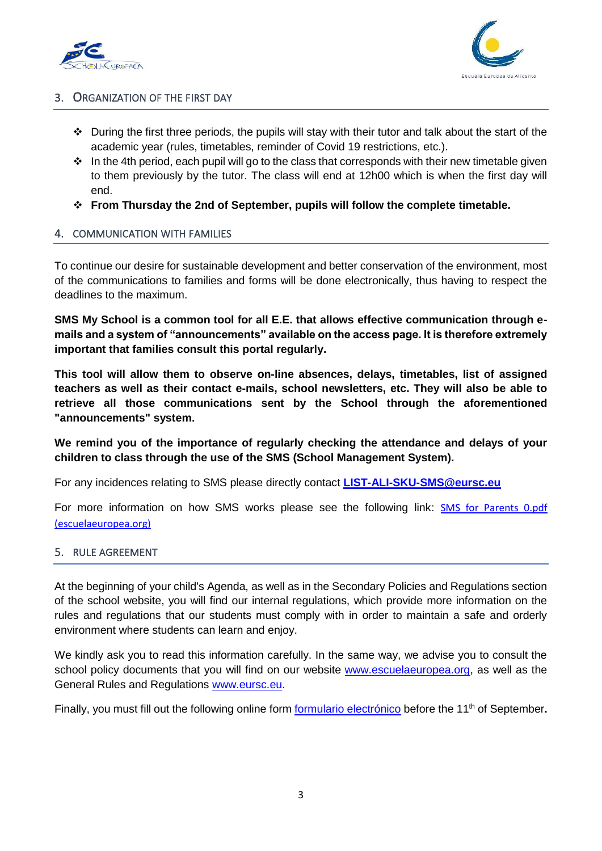



# 3. ORGANIZATION OF THE FIRST DAY

- $\div$  During the first three periods, the pupils will stay with their tutor and talk about the start of the academic year (rules, timetables, reminder of Covid 19 restrictions, etc.).
- $\cdot \cdot$  In the 4th period, each pupil will go to the class that corresponds with their new timetable given to them previously by the tutor. The class will end at 12h00 which is when the first day will end.
- **From Thursday the 2nd of September, pupils will follow the complete timetable.**

## 4. COMMUNICATION WITH FAMILIES

To continue our desire for sustainable development and better conservation of the environment, most of the communications to families and forms will be done electronically, thus having to respect the deadlines to the maximum.

**SMS My School is a common tool for all E.E. that allows effective communication through emails and a system of "announcements" available on the access page. It is therefore extremely important that families consult this portal regularly.**

**This tool will allow them to observe on-line absences, delays, timetables, list of assigned teachers as well as their contact e-mails, school newsletters, etc. They will also be able to retrieve all those communications sent by the School through the aforementioned "announcements" system.**

**We remind you of the importance of regularly checking the attendance and delays of your children to class through the use of the SMS (School Management System).**

For any incidences relating to SMS please directly contact **[LIST-ALI-SKU-SMS@eursc.eu](mailto:LIST-ALI-SKU-SMS@eursc.eu)**

For more information on how SMS works please see the following link: SMS for Parents 0.pdf [\(escuelaeuropea.org\)](https://www.escuelaeuropea.org/sites/default/files/2020-06/SMS%20for%20Parents_0.pdf)

#### 5. RULE AGREEMENT

At the beginning of your child's Agenda, as well as in the Secondary Policies and Regulations section of the school website, you will find our internal regulations, which provide more information on the rules and regulations that our students must comply with in order to maintain a safe and orderly environment where students can learn and enjoy.

We kindly ask you to read this information carefully. In the same way, we advise you to consult the school policy documents that you will find on our website [www.escuelaeuropea.org,](http://www.escuelaeuropea.org/) as well as the General Rules and Regulations [www.eursc.eu.](http://www.eursc.eu/)

Finally, you must fill out the following online form [formulario electrónico](https://forms.office.com/Pages/ResponsePage.aspx?id=aeA505McU0OzBwsicDW6Qozp4qtuRRdFo_BFPYTn2HtUMERHOUlMWldUQzM3MTRBUUxIOE0zVkU2Ri4u) before the 11<sup>th</sup> of September.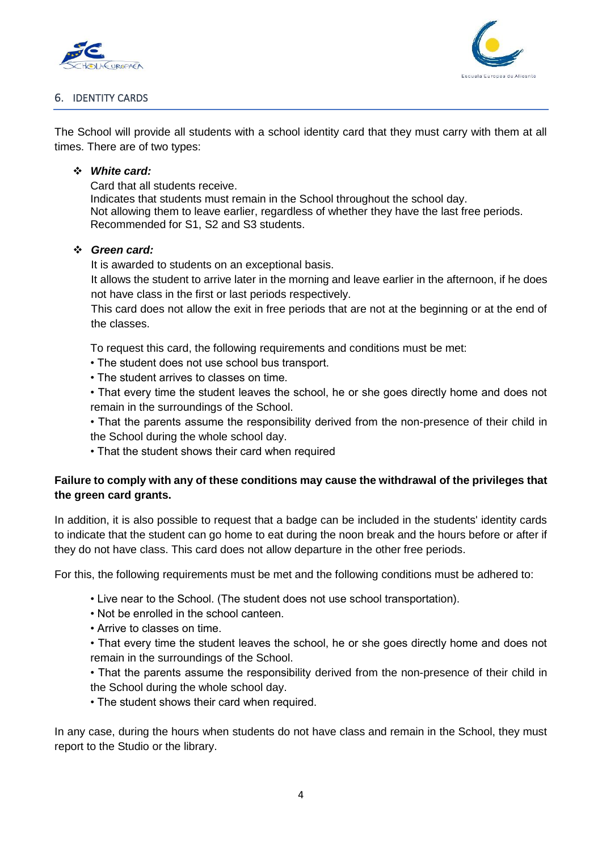



# 6. IDENTITY CARDS

The School will provide all students with a school identity card that they must carry with them at all times. There are of two types:

#### *White card:*

Card that all students receive. Indicates that students must remain in the School throughout the school day. Not allowing them to leave earlier, regardless of whether they have the last free periods. Recommended for S1, S2 and S3 students.

#### *Green card:*

It is awarded to students on an exceptional basis.

It allows the student to arrive later in the morning and leave earlier in the afternoon, if he does not have class in the first or last periods respectively.

This card does not allow the exit in free periods that are not at the beginning or at the end of the classes.

To request this card, the following requirements and conditions must be met:

- The student does not use school bus transport.
- The student arrives to classes on time.

• That every time the student leaves the school, he or she goes directly home and does not remain in the surroundings of the School.

• That the parents assume the responsibility derived from the non-presence of their child in the School during the whole school day.

• That the student shows their card when required

## **Failure to comply with any of these conditions may cause the withdrawal of the privileges that the green card grants.**

In addition, it is also possible to request that a badge can be included in the students' identity cards to indicate that the student can go home to eat during the noon break and the hours before or after if they do not have class. This card does not allow departure in the other free periods.

For this, the following requirements must be met and the following conditions must be adhered to:

- Live near to the School. (The student does not use school transportation).
	- Not be enrolled in the school canteen.
	- Arrive to classes on time.

• That every time the student leaves the school, he or she goes directly home and does not remain in the surroundings of the School.

• That the parents assume the responsibility derived from the non-presence of their child in the School during the whole school day.

• The student shows their card when required.

In any case, during the hours when students do not have class and remain in the School, they must report to the Studio or the library.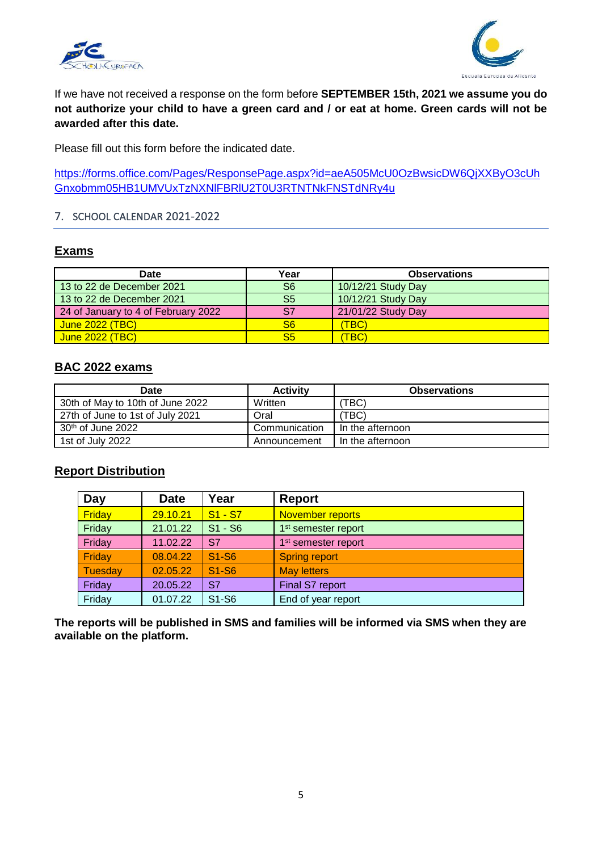



If we have not received a response on the form before **SEPTEMBER 15th, 2021 we assume you do not authorize your child to have a green card and / or eat at home. Green cards will not be awarded after this date.**

Please fill out this form before the indicated date.

[https://forms.office.com/Pages/ResponsePage.aspx?id=aeA505McU0OzBwsicDW6QjXXByO3cUh](https://forms.office.com/Pages/ResponsePage.aspx?id=aeA505McU0OzBwsicDW6QjXXByO3cUhGnxobmm05HB1UMVUxTzNXNlFBRlU2T0U3RTNTNkFNSTdNRy4u) [Gnxobmm05HB1UMVUxTzNXNlFBRlU2T0U3RTNTNkFNSTdNRy4u](https://forms.office.com/Pages/ResponsePage.aspx?id=aeA505McU0OzBwsicDW6QjXXByO3cUhGnxobmm05HB1UMVUxTzNXNlFBRlU2T0U3RTNTNkFNSTdNRy4u)

## 7. SCHOOL CALENDAR 2021-2022

# **Exams**

| <b>Date</b>                         | Year           | <b>Observations</b> |
|-------------------------------------|----------------|---------------------|
| 13 to 22 de December 2021           | S6             | 10/12/21 Study Day  |
| 13 to 22 de December 2021           | S5             | 10/12/21 Study Day  |
| 24 of January to 4 of February 2022 | S7             | 21/01/22 Study Day  |
| June 2022 (TBC)                     | S <sub>6</sub> | 'TBC)               |
| June 2022 (TBC)                     |                | TBC)                |

## **BAC 2022 exams**

| Date                             | <b>Activity</b> | <b>Observations</b> |
|----------------------------------|-----------------|---------------------|
| 30th of May to 10th of June 2022 | Written         | TBC)                |
| 27th of June to 1st of July 2021 | Oral            | TBC)                |
| 1 30 <sup>th</sup> of June 2022  | Communication   | In the afternoon    |
| 1st of July 2022                 | Announcement    | In the afternoon    |

# **Report Distribution**

| Day     | <b>Date</b> | Year         | Report                          |
|---------|-------------|--------------|---------------------------------|
| Friday  | 29.10.21    | $S1 - S7$    | <b>November reports</b>         |
| Friday  | 21.01.22    | $S1 - S6$    | 1 <sup>st</sup> semester report |
| Friday  | 11.02.22    | S7           | 1 <sup>st</sup> semester report |
| Friday  | 08.04.22    | <b>S1-S6</b> | <b>Spring report</b>            |
| Tuesday | 02.05.22    | S1-S6        | <b>May letters</b>              |
| Friday  | 20.05.22    | S7           | Final S7 report                 |
| Friday  | 01.07.22    | S1-S6        | End of year report              |

**The reports will be published in SMS and families will be informed via SMS when they are available on the platform.**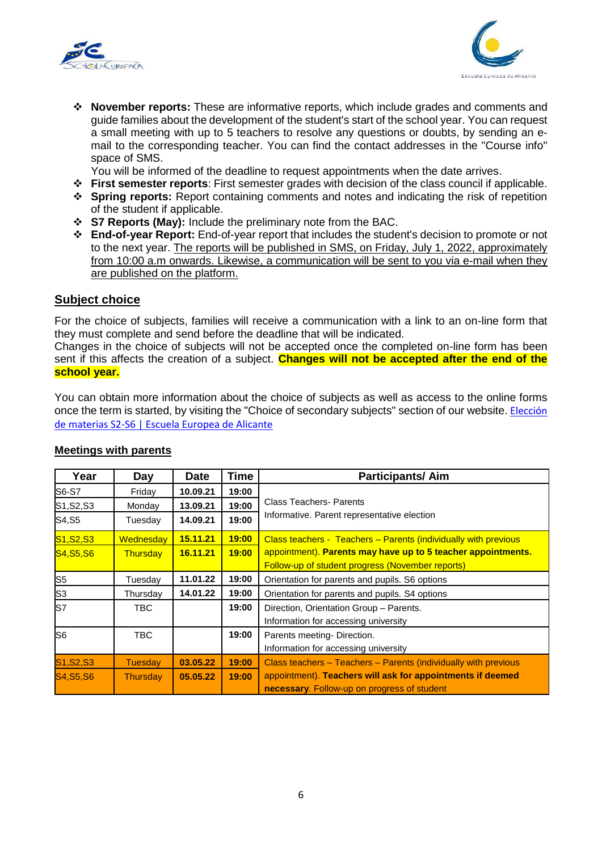



- **November reports:** These are informative reports, which include grades and comments and guide families about the development of the student's start of the school year. You can request a small meeting with up to 5 teachers to resolve any questions or doubts, by sending an email to the corresponding teacher. You can find the contact addresses in the "Course info" space of SMS.
	- You will be informed of the deadline to request appointments when the date arrives.
- **First semester reports**: First semester grades with decision of the class council if applicable.
- **Spring reports:** Report containing comments and notes and indicating the risk of repetition of the student if applicable.
- **S7 Reports (May):** Include the preliminary note from the BAC.
- **End-of-year Report:** End-of-year report that includes the student's decision to promote or not to the next year. The reports will be published in SMS, on Friday, July 1, 2022, approximately from 10:00 a.m onwards. Likewise, a communication will be sent to you via e-mail when they are published on the platform.

#### **Subject choice**

For the choice of subjects, families will receive a communication with a link to an on-line form that they must complete and send before the deadline that will be indicated.

Changes in the choice of subjects will not be accepted once the completed on-line form has been sent if this affects the creation of a subject. **Changes will not be accepted after the end of the school year.**

You can obtain more information about the choice of subjects as well as access to the online forms once the term is started, by visiting the "Choice of secondary subjects" section of our website. [Elección](https://escuelaeuropea.org/secundaria/eleccion-de-materias-s2-s6)  [de materias S2-S6 | Escuela Europea de Alicante](https://escuelaeuropea.org/secundaria/eleccion-de-materias-s2-s6)

| Year                                             | Day             | <b>Date</b> | <b>Time</b>                                      | <b>Participants/Aim</b>                                         |  |
|--------------------------------------------------|-----------------|-------------|--------------------------------------------------|-----------------------------------------------------------------|--|
| S6-S7                                            | Friday          | 10.09.21    | 19:00                                            |                                                                 |  |
| S1, S2, S3                                       | Monday          | 13.09.21    | 19:00                                            | <b>Class Teachers- Parents</b>                                  |  |
| S4, S5                                           | Tuesday         | 14.09.21    | 19:00                                            | Informative. Parent representative election                     |  |
| S <sub>1</sub> , S <sub>2</sub> , S <sub>3</sub> | Wednesday       | 15.11.21    | 19:00                                            | Class teachers - Teachers – Parents (individually with previous |  |
| S <sub>4</sub> , S <sub>5</sub> , S <sub>6</sub> | <b>Thursday</b> | 16.11.21    | 19:00                                            | appointment). Parents may have up to 5 teacher appointments.    |  |
|                                                  |                 |             |                                                  | Follow-up of student progress (November reports)                |  |
| S <sub>5</sub>                                   | Tuesdav         | 11.01.22    | 19:00                                            | Orientation for parents and pupils. S6 options                  |  |
| S <sub>3</sub>                                   | Thursday        | 14.01.22    | 19:00                                            | Orientation for parents and pupils. S4 options                  |  |
| S7                                               | TBC.            |             | 19:00<br>Direction, Orientation Group - Parents. |                                                                 |  |
|                                                  |                 |             |                                                  | Information for accessing university                            |  |
| S <sub>6</sub>                                   | <b>TBC</b>      |             | 19:00                                            | Parents meeting- Direction.                                     |  |
|                                                  |                 |             |                                                  | Information for accessing university                            |  |
| S <sub>1</sub> , S <sub>2</sub> , S <sub>3</sub> | <b>Tuesday</b>  | 03.05.22    | 19:00                                            | Class teachers - Teachers - Parents (individually with previous |  |
| S4, S5, S6                                       | <b>Thursday</b> | 05.05.22    | 19:00                                            | appointment). Teachers will ask for appointments if deemed      |  |
|                                                  |                 |             |                                                  | necessary. Follow-up on progress of student                     |  |

#### **Meetings with parents**